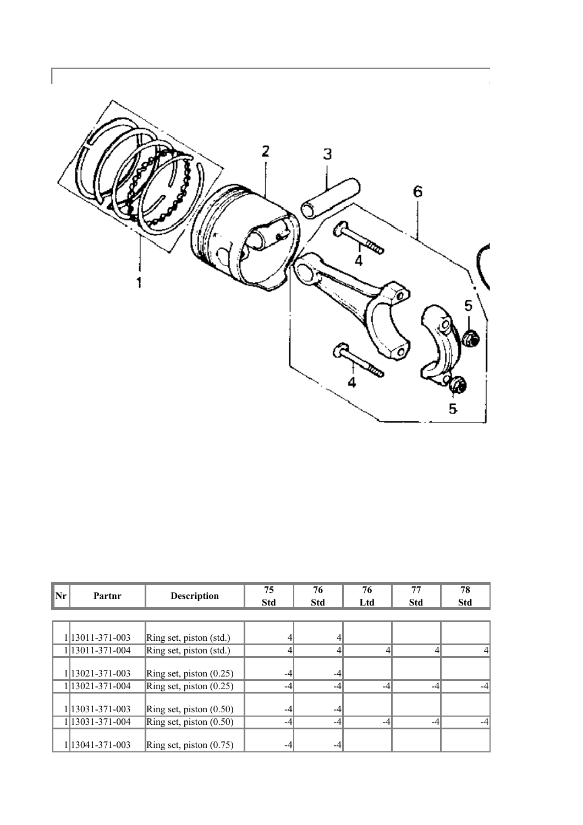

| Nr | Partnr          | <b>Description</b>        | 75         | 76         | 76  | 77         | 78         |
|----|-----------------|---------------------------|------------|------------|-----|------------|------------|
|    |                 |                           | <b>Std</b> | <b>Std</b> | Ltd | <b>Std</b> | <b>Std</b> |
|    |                 |                           |            |            |     |            |            |
|    | 1 13011-371-003 | Ring set, piston (std.)   |            |            |     |            |            |
|    | 1 13011-371-004 | Ring set, piston (std.)   |            |            |     |            |            |
|    |                 |                           |            |            |     |            |            |
|    | 1 13021-371-003 | Ring set, piston $(0.25)$ | -4         | -4         |     |            |            |
|    | 1 13021-371-004 | Ring set, piston $(0.25)$ | -4         | -4         | -4  |            |            |
|    | 1 13031-371-003 | Ring set, piston $(0.50)$ | -4         | -4         |     |            |            |
|    | 1 13031-371-004 | Ring set, piston $(0.50)$ | -4         | -4         | -4  | $-4$       |            |
|    | 1 13041-371-003 | Ring set, piston $(0.75)$ | -4         |            |     |            |            |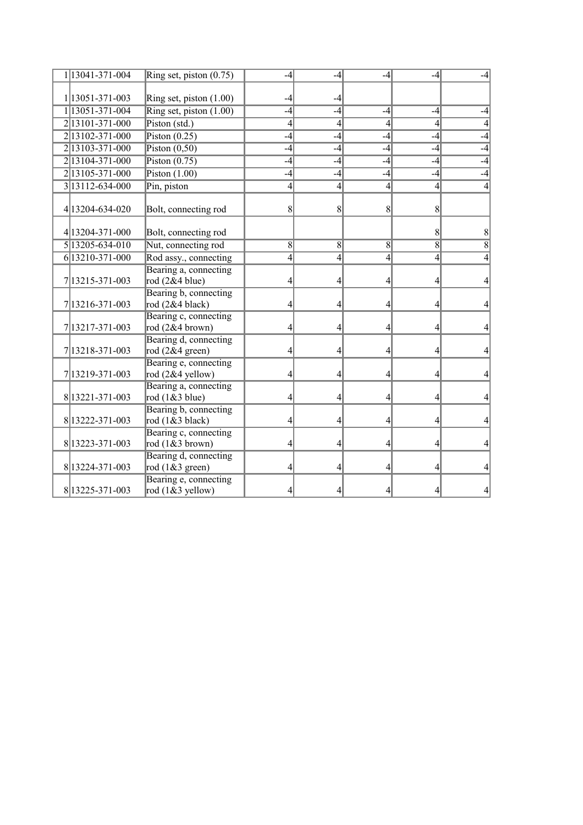| 1 13041-371-004     | Ring set, piston $(0.75)$                   | $-4$           | $-4$           | -4             | -4             |                  |
|---------------------|---------------------------------------------|----------------|----------------|----------------|----------------|------------------|
|                     |                                             |                |                |                |                |                  |
| 1 13051-371-003     | Ring set, piston (1.00)                     | -4             | -4             |                |                |                  |
| 1 13051-371-004     | Ring set, piston $(1.00)$                   | $-4$           | $-4$           | $-4$           | -4             | -4               |
| 2 13101 - 371 - 000 | Piston (std.)                               | $\overline{4}$ | $\overline{4}$ | $\overline{4}$ | $\overline{4}$ | 41               |
| 2 13102-371-000     | Piston $(0.25)$                             | $-4$           | $-4$           | $-4$           | $-4$           | $-4$             |
| 2 13103-371-000     | Piston $(0,50)$                             | $-4$           | $-4$           | $-4$           | $-4$           | $-4$             |
| 2 13104-371-000     | Piston $(0.75)$                             | $-4$           | $-4$           | $-4$           | -4             | $-4$             |
| 2 13105-371-000     | Piston $(1.00)$                             | $-4$           | $-4$           | $-4$           | $-4$           | $-4$             |
| 3 13112-634-000     | Pin, piston                                 | $\overline{4}$ | 4              | $\overline{4}$ | $\overline{4}$ | 4                |
| 4 13204-634-020     | Bolt, connecting rod                        | 8              | 8              | 8              | 8              |                  |
| 4 13204-371-000     | Bolt, connecting rod                        |                |                |                | 8              | 8                |
| 5 13205-634-010     | Nut, connecting rod                         | 8              | $\overline{8}$ | $\overline{8}$ | 8              | $\overline{8}$   |
| 6 13210-371-000     | Rod assy., connecting                       | $\overline{4}$ | $\overline{4}$ | 4              | 4              | $\left 4\right $ |
| 7 13215 - 371 - 003 | Bearing a, connecting<br>rod $(2&4$ blue)   | 4              | 4              | 4              | 4              | $\left 4\right $ |
| 7 13216-371-003     | Bearing b, connecting<br>rod (2&4 black)    | 4              | 4              | 4              | 4              | 41               |
| 7 13217-371-003     | Bearing c, connecting<br>rod (2&4 brown)    | 4              | 4              | 4              | 4              | $\left 4\right $ |
| 7 13218 - 371 - 003 | Bearing d, connecting<br>rod $(2&4$ green)  | 4              | 4              | 4              | 4              | 41               |
| 7 13219 - 371 - 003 | Bearing e, connecting<br>rod $(2&4$ yellow) | 4              | 4              | 4              | 4              | $\left 4\right $ |
| 8 13221 - 371 - 003 | Bearing a, connecting<br>rod $(1& 3$ blue)  | 4              | 4              | 4              | 4              | 41               |
| 8 13222-371-003     | Bearing b, connecting<br>rod $(1& 3$ black) | 4              | 4              | 4              | 4              | 4                |
| 8 13223-371-003     | Bearing c, connecting<br>rod $(1&3$ brown)  | $\overline{4}$ | 4              | 4              | 4              | 41               |
| 8 13224-371-003     | Bearing d, connecting<br>rod $(1&&3$ green) | 4              | 4              | 4              | 4              | 4                |
| 8 13225 - 371 - 003 | Bearing e, connecting<br>rod $(1&3$ yellow) | 4              |                |                | 4              | 41               |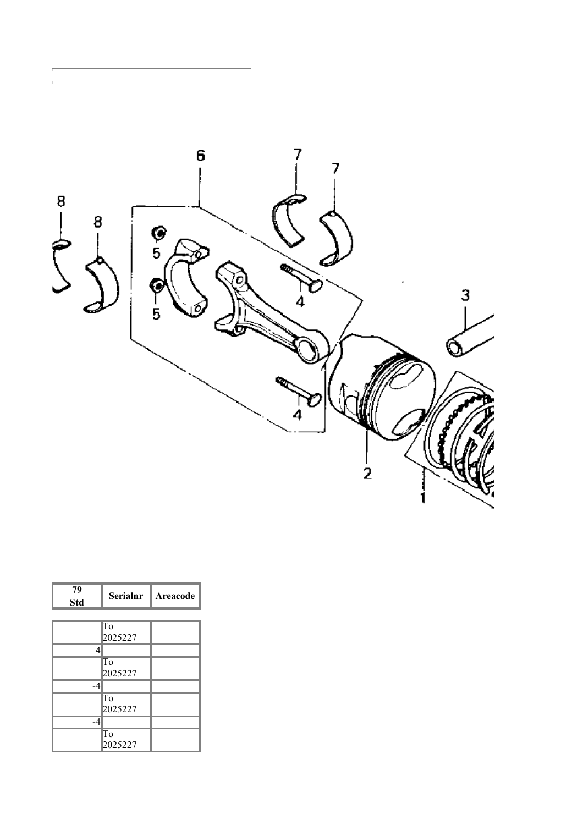

| 79<br><b>Std</b>         | <b>Serialnr</b> | Areacode |
|--------------------------|-----------------|----------|
|                          |                 |          |
|                          | To<br>2025227   |          |
| Λ                        |                 |          |
|                          | To<br>2025227   |          |
| $\overline{\mathcal{A}}$ |                 |          |
|                          | To<br>2025227   |          |
| -4                       |                 |          |
|                          | To<br>2025227   |          |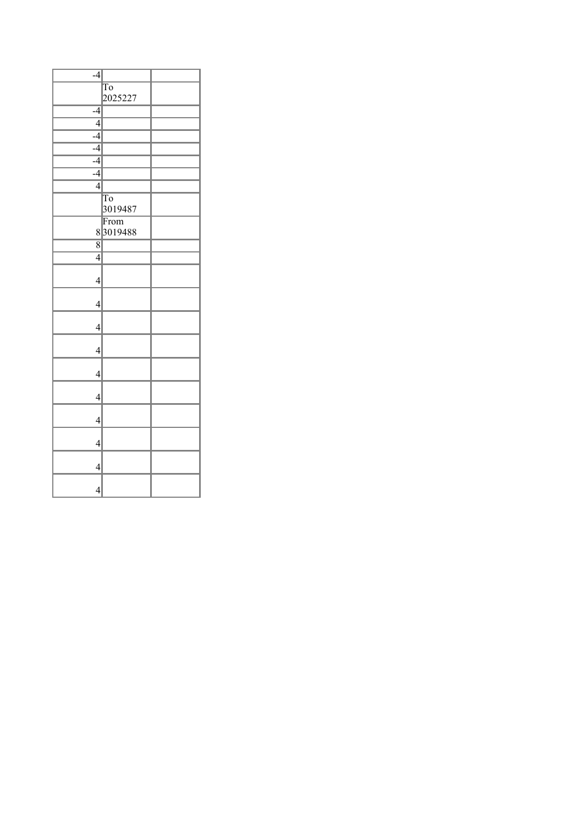| $-4$           |                        |  |
|----------------|------------------------|--|
|                | $\overline{\text{To}}$ |  |
|                | 2025227                |  |
| $-4$           |                        |  |
| $\overline{4}$ |                        |  |
| $-4$           |                        |  |
| $\overline{4}$ |                        |  |
| $-4$           |                        |  |
| $-4$           |                        |  |
| $\overline{4}$ |                        |  |
|                | $\overline{\text{To}}$ |  |
|                | 3019487                |  |
|                | From                   |  |
|                | 83019488               |  |
| $\overline{8}$ |                        |  |
| $\overline{4}$ |                        |  |
|                |                        |  |
| $\overline{4}$ |                        |  |
|                |                        |  |
| $\overline{4}$ |                        |  |
|                |                        |  |
| $\overline{4}$ |                        |  |
|                |                        |  |
| $\overline{4}$ |                        |  |
| $\overline{4}$ |                        |  |
|                |                        |  |
| $\overline{4}$ |                        |  |
|                |                        |  |
| $\overline{4}$ |                        |  |
|                |                        |  |
| $\overline{4}$ |                        |  |
|                |                        |  |
| $\overline{4}$ |                        |  |
| $\overline{4}$ |                        |  |
|                |                        |  |